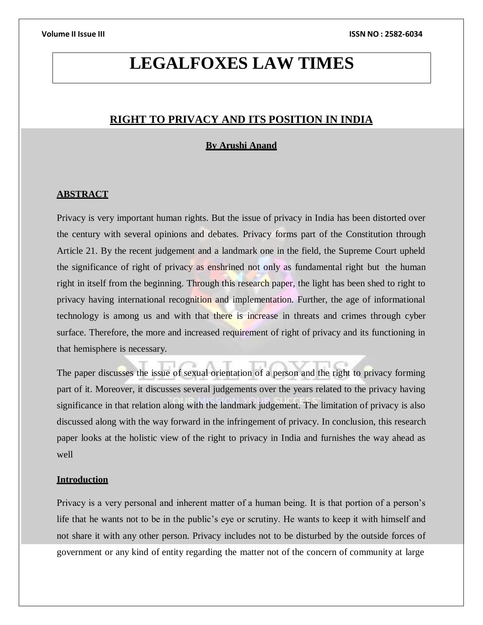# **LEGALFOXES LAW TIMES**

# **RIGHT TO PRIVACY AND ITS POSITION IN INDIA**

# **By Arushi Anand**

### **ABSTRACT**

Privacy is very important human rights. But the issue of privacy in India has been distorted over the century with several opinions and debates. Privacy forms part of the Constitution through Article 21. By the recent judgement and a landmark one in the field, the Supreme Court upheld the significance of right of privacy as enshrined not only as fundamental right but the human right in itself from the beginning. Through this research paper, the light has been shed to right to privacy having international recognition and implementation. Further, the age of informational technology is among us and with that there is increase in threats and crimes through cyber surface. Therefore, the more and increased requirement of right of privacy and its functioning in that hemisphere is necessary.

The paper discusses the issue of sexual orientation of a person and the right to privacy forming part of it. Moreover, it discusses several judgements over the years related to the privacy having significance in that relation along with the landmark judgement. The limitation of privacy is also discussed along with the way forward in the infringement of privacy. In conclusion, this research paper looks at the holistic view of the right to privacy in India and furnishes the way ahead as well

### **Introduction**

Privacy is a very personal and inherent matter of a human being. It is that portion of a person's life that he wants not to be in the public's eye or scrutiny. He wants to keep it with himself and not share it with any other person. Privacy includes not to be disturbed by the outside forces of government or any kind of entity regarding the matter not of the concern of community at large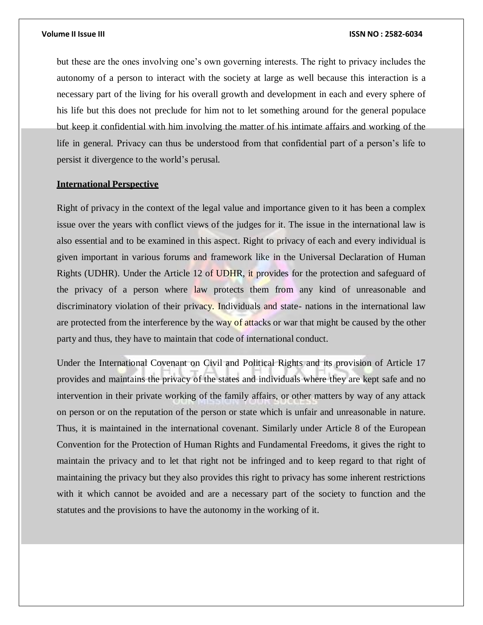but these are the ones involving one's own governing interests. The right to privacy includes the autonomy of a person to interact with the society at large as well because this interaction is a necessary part of the living for his overall growth and development in each and every sphere of his life but this does not preclude for him not to let something around for the general populace but keep it confidential with him involving the matter of his intimate affairs and working of the life in general. Privacy can thus be understood from that confidential part of a person's life to persist it divergence to the world's perusal.

# **International Perspective**

Right of privacy in the context of the legal value and importance given to it has been a complex issue over the years with conflict views of the judges for it. The issue in the international law is also essential and to be examined in this aspect. Right to privacy of each and every individual is given important in various forums and framework like in the Universal Declaration of Human Rights (UDHR). Under the Article 12 of UDHR, it provides for the protection and safeguard of the privacy of a person where law protects them from any kind of unreasonable and discriminatory violation of their privacy. Individuals and state- nations in the international law are protected from the interference by the way of attacks or war that might be caused by the other party and thus, they have to maintain that code of international conduct.

Under the International Covenant on Civil and Political Rights and its provision of Article 17 provides and maintains the privacy of the states and individuals where they are kept safe and no intervention in their private working of the family affairs, or other matters by way of any attack on person or on the reputation of the person or state which is unfair and unreasonable in nature. Thus, it is maintained in the international covenant. Similarly under Article 8 of the European Convention for the Protection of Human Rights and Fundamental Freedoms, it gives the right to maintain the privacy and to let that right not be infringed and to keep regard to that right of maintaining the privacy but they also provides this right to privacy has some inherent restrictions with it which cannot be avoided and are a necessary part of the society to function and the statutes and the provisions to have the autonomy in the working of it.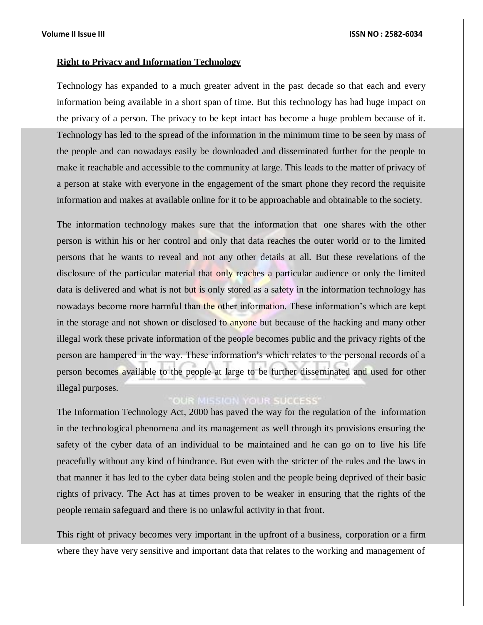# **Right to Privacy and Information Technology**

Technology has expanded to a much greater advent in the past decade so that each and every information being available in a short span of time. But this technology has had huge impact on the privacy of a person. The privacy to be kept intact has become a huge problem because of it. Technology has led to the spread of the information in the minimum time to be seen by mass of the people and can nowadays easily be downloaded and disseminated further for the people to make it reachable and accessible to the community at large. This leads to the matter of privacy of a person at stake with everyone in the engagement of the smart phone they record the requisite information and makes at available online for it to be approachable and obtainable to the society.

The information technology makes sure that the information that one shares with the other person is within his or her control and only that data reaches the outer world or to the limited persons that he wants to reveal and not any other details at all. But these revelations of the disclosure of the particular material that only reaches a particular audience or only the limited data is delivered and what is not but is only stored as a safety in the information technology has nowadays become more harmful than the other information. These information's which are kept in the storage and not shown or disclosed to anyone but because of the hacking and many other illegal work these private information of the people becomes public and the privacy rights of the person are hampered in the way. These information's which relates to the personal records of a person becomes available to the people at large to be further disseminated and used for other illegal purposes.

# **OUR MISSION YOUR SUCCESS**

The Information Technology Act, 2000 has paved the way for the regulation of the information in the technological phenomena and its management as well through its provisions ensuring the safety of the cyber data of an individual to be maintained and he can go on to live his life peacefully without any kind of hindrance. But even with the stricter of the rules and the laws in that manner it has led to the cyber data being stolen and the people being deprived of their basic rights of privacy. The Act has at times proven to be weaker in ensuring that the rights of the people remain safeguard and there is no unlawful activity in that front.

This right of privacy becomes very important in the upfront of a business, corporation or a firm where they have very sensitive and important data that relates to the working and management of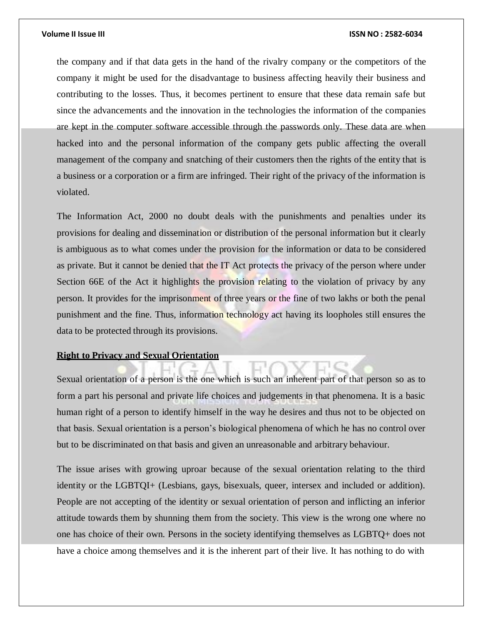the company and if that data gets in the hand of the rivalry company or the competitors of the company it might be used for the disadvantage to business affecting heavily their business and contributing to the losses. Thus, it becomes pertinent to ensure that these data remain safe but since the advancements and the innovation in the technologies the information of the companies are kept in the computer software accessible through the passwords only. These data are when hacked into and the personal information of the company gets public affecting the overall management of the company and snatching of their customers then the rights of the entity that is a business or a corporation or a firm are infringed. Their right of the privacy of the information is violated.

The Information Act, 2000 no doubt deals with the punishments and penalties under its provisions for dealing and dissemination or distribution of the personal information but it clearly is ambiguous as to what comes under the provision for the information or data to be considered as private. But it cannot be denied that the IT Act protects the privacy of the person where under Section 66E of the Act it highlights the provision relating to the violation of privacy by any person. It provides for the imprisonment of three years or the fine of two lakhs or both the penal punishment and the fine. Thus, information technology act having its loopholes still ensures the data to be protected through its provisions.

### **Right to Privacy and Sexual Orientation**

Sexual orientation of a person is the one which is such an inherent part of that person so as to form a part his personal and private life choices and judgements in that phenomena. It is a basic human right of a person to identify himself in the way he desires and thus not to be objected on that basis. Sexual orientation is a person's biological phenomena of which he has no control over but to be discriminated on that basis and given an unreasonable and arbitrary behaviour.

The issue arises with growing uproar because of the sexual orientation relating to the third identity or the LGBTQI+ (Lesbians, gays, bisexuals, queer, intersex and included or addition). People are not accepting of the identity or sexual orientation of person and inflicting an inferior attitude towards them by shunning them from the society. This view is the wrong one where no one has choice of their own. Persons in the society identifying themselves as LGBTQ+ does not have a choice among themselves and it is the inherent part of their live. It has nothing to do with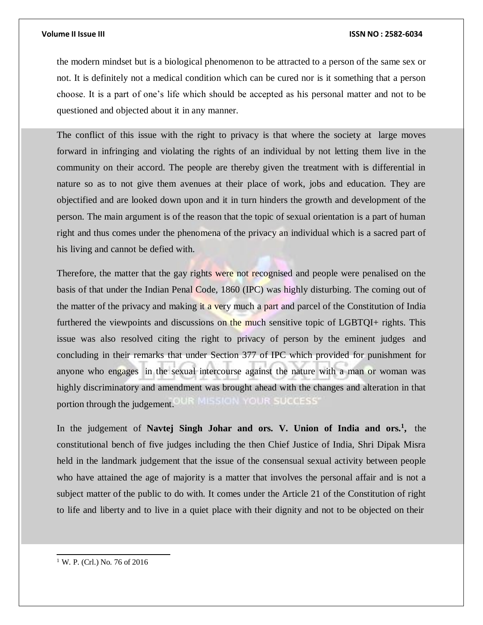the modern mindset but is a biological phenomenon to be attracted to a person of the same sex or not. It is definitely not a medical condition which can be cured nor is it something that a person choose. It is a part of one's life which should be accepted as his personal matter and not to be questioned and objected about it in any manner.

The conflict of this issue with the right to privacy is that where the society at large moves forward in infringing and violating the rights of an individual by not letting them live in the community on their accord. The people are thereby given the treatment with is differential in nature so as to not give them avenues at their place of work, jobs and education. They are objectified and are looked down upon and it in turn hinders the growth and development of the person. The main argument is of the reason that the topic of sexual orientation is a part of human right and thus comes under the phenomena of the privacy an individual which is a sacred part of his living and cannot be defied with.

Therefore, the matter that the gay rights were not recognised and people were penalised on the basis of that under the Indian Penal Code, 1860 (IPC) was highly disturbing. The coming out of the matter of the privacy and making it a very much a part and parcel of the Constitution of India furthered the viewpoints and discussions on the much sensitive topic of LGBTQI+ rights. This issue was also resolved citing the right to privacy of person by the eminent judges and concluding in their remarks that under Section 377 of IPC which provided for punishment for anyone who engages in the sexual intercourse against the nature with a man or woman was highly discriminatory and amendment was brought ahead with the changes and alteration in that MISSION YOUR SUCCESS' portion through the judgement.

In the judgement of **Navtej Singh Johar and ors. V. Union of India and ors.<sup>1</sup> ,** the constitutional bench of five judges including the then Chief Justice of India, Shri Dipak Misra held in the landmark judgement that the issue of the consensual sexual activity between people who have attained the age of majority is a matter that involves the personal affair and is not a subject matter of the public to do with. It comes under the Article 21 of the Constitution of right to life and liberty and to live in a quiet place with their dignity and not to be objected on their

<sup>1</sup> W. P. (Crl.) No. 76 of 2016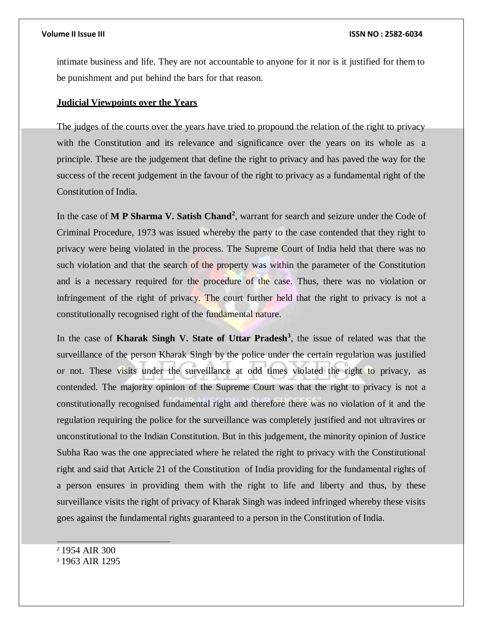intimate business and life. They are not accountable to anyone for it nor is it justified for them to be punishment and put behind the bars for that reason.

# **Judicial Viewpoints over the Years**

The judges of the courts over the years have tried to propound the relation of the right to privacy with the Constitution and its relevance and significance over the years on its whole as a principle. These are the judgement that define the right to privacy and has paved the way for the success of the recent judgement in the favour of the right to privacy as a fundamental right of the Constitution of India.

In the case of **M P Sharma V. Satish Chand<sup>2</sup>** , warrant for search and seizure under the Code of Criminal Procedure, 1973 was issued whereby the party to the case contended that they right to privacy were being violated in the process. The Supreme Court of India held that there was no such violation and that the search of the property was within the parameter of the Constitution and is a necessary required for the procedure of the case. Thus, there was no violation or infringement of the right of privacy. The court further held that the right to privacy is not a constitutionally recognised right of the fundamental nature.

In the case of **Kharak Singh V. State of Uttar Pradesh<sup>3</sup>** , the issue of related was that the surveillance of the person Kharak Singh by the police under the certain regulation was justified or not. These visits under the surveillance at odd times violated the right to privacy, as contended. The majority opinion of the Supreme Court was that the right to privacy is not a constitutionally recognised fundamental right and therefore there was no violation of it and the regulation requiring the police for the surveillance was completely justified and not ultravires or unconstitutional to the Indian Constitution. But in this judgement, the minority opinion of Justice Subha Rao was the one appreciated where he related the right to privacy with the Constitutional right and said that Article 21 of the Constitution of India providing for the fundamental rights of a person ensures in providing them with the right to life and liberty and thus, by these surveillance visits the right of privacy of Kharak Singh was indeed infringed whereby these visits goes against the fundamental rights guaranteed to a person in the Constitution of India.

<sup>2</sup> 1954 AIR 300

<sup>3</sup> 1963 AIR 1295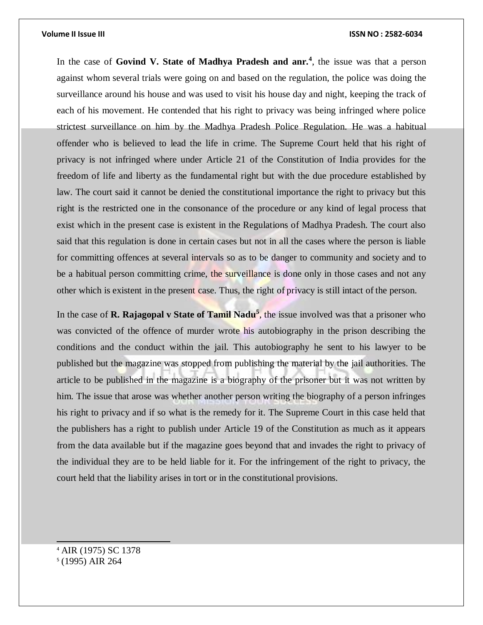In the case of Govind V. State of Madhya Pradesh and anr.<sup>4</sup>, the issue was that a person against whom several trials were going on and based on the regulation, the police was doing the surveillance around his house and was used to visit his house day and night, keeping the track of each of his movement. He contended that his right to privacy was being infringed where police strictest surveillance on him by the Madhya Pradesh Police Regulation. He was a habitual offender who is believed to lead the life in crime. The Supreme Court held that his right of privacy is not infringed where under Article 21 of the Constitution of India provides for the freedom of life and liberty as the fundamental right but with the due procedure established by law. The court said it cannot be denied the constitutional importance the right to privacy but this right is the restricted one in the consonance of the procedure or any kind of legal process that exist which in the present case is existent in the Regulations of Madhya Pradesh. The court also said that this regulation is done in certain cases but not in all the cases where the person is liable for committing offences at several intervals so as to be danger to community and society and to be a habitual person committing crime, the surveillance is done only in those cases and not any other which is existent in the present case. Thus, the right of privacy is still intact of the person.

In the case of **R. Rajagopal v State of Tamil Nadu<sup>5</sup>**, the issue involved was that a prisoner who was convicted of the offence of murder wrote his autobiography in the prison describing the conditions and the conduct within the jail. This autobiography he sent to his lawyer to be published but the magazine was stopped from publishing the material by the jail authorities. The article to be published in the magazine is a biography of the prisoner but it was not written by him. The issue that arose was whether another person writing the biography of a person infringes his right to privacy and if so what is the remedy for it. The Supreme Court in this case held that the publishers has a right to publish under Article 19 of the Constitution as much as it appears from the data available but if the magazine goes beyond that and invades the right to privacy of the individual they are to be held liable for it. For the infringement of the right to privacy, the court held that the liability arises in tort or in the constitutional provisions.

<sup>4</sup> AIR (1975) SC 1378 5 (1995) AIR 264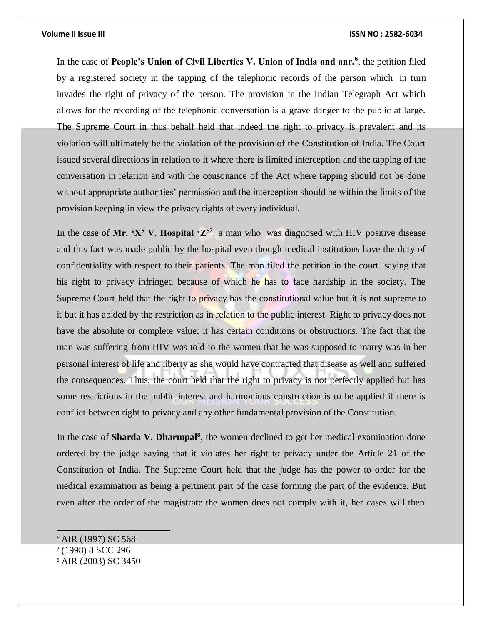In the case of **People's Union of Civil Liberties V. Union of India and anr.<sup>6</sup>** , the petition filed by a registered society in the tapping of the telephonic records of the person which in turn invades the right of privacy of the person. The provision in the Indian Telegraph Act which allows for the recording of the telephonic conversation is a grave danger to the public at large. The Supreme Court in thus behalf held that indeed the right to privacy is prevalent and its violation will ultimately be the violation of the provision of the Constitution of India. The Court issued several directions in relation to it where there is limited interception and the tapping of the conversation in relation and with the consonance of the Act where tapping should not be done without appropriate authorities' permission and the interception should be within the limits of the provision keeping in view the privacy rights of every individual.

In the case of Mr. 'X' V. Hospital ' $\mathbb{Z}^7$ , a man who was diagnosed with HIV positive disease and this fact was made public by the hospital even though medical institutions have the duty of confidentiality with respect to their patients. The man filed the petition in the court saying that his right to privacy infringed because of which he has to face hardship in the society. The Supreme Court held that the right to privacy has the constitutional value but it is not supreme to it but it has abided by the restriction as in relation to the public interest. Right to privacy does not have the absolute or complete value; it has certain conditions or obstructions. The fact that the man was suffering from HIV was told to the women that he was supposed to marry was in her personal interest of life and liberty as she would have contracted that disease as well and suffered the consequences. Thus, the court held that the right to privacy is not perfectly applied but has some restrictions in the public interest and harmonious construction is to be applied if there is conflict between right to privacy and any other fundamental provision of the Constitution.

In the case of **Sharda V. Dharmpal<sup>8</sup>**, the women declined to get her medical examination done ordered by the judge saying that it violates her right to privacy under the Article 21 of the Constitution of India. The Supreme Court held that the judge has the power to order for the medical examination as being a pertinent part of the case forming the part of the evidence. But even after the order of the magistrate the women does not comply with it, her cases will then

<sup>6</sup> AIR (1997) SC 568 7 (1998) 8 SCC 296 <sup>8</sup> AIR (2003) SC 3450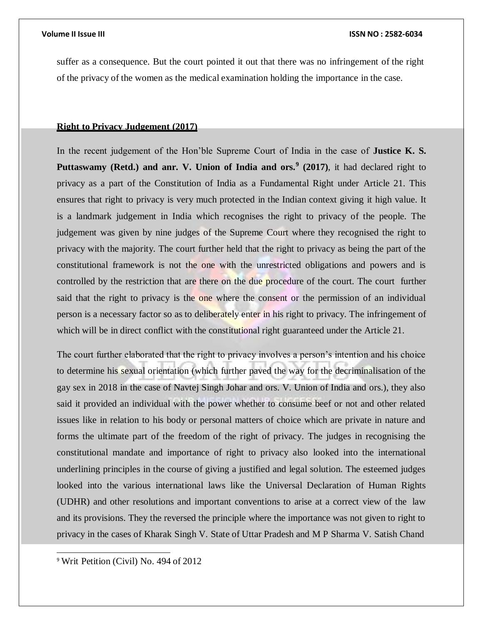suffer as a consequence. But the court pointed it out that there was no infringement of the right of the privacy of the women as the medical examination holding the importance in the case.

# **Right to Privacy Judgement (2017)**

In the recent judgement of the Hon'ble Supreme Court of India in the case of **Justice K. S. Puttaswamy (Retd.) and anr. V. Union of India and ors.<sup>9</sup> (2017)**, it had declared right to privacy as a part of the Constitution of India as a Fundamental Right under Article 21. This ensures that right to privacy is very much protected in the Indian context giving it high value. It is a landmark judgement in India which recognises the right to privacy of the people. The judgement was given by nine judges of the Supreme Court where they recognised the right to privacy with the majority. The court further held that the right to privacy as being the part of the constitutional framework is not the one with the unrestricted obligations and powers and is controlled by the restriction that are there on the due procedure of the court. The court further said that the right to privacy is the one where the consent or the permission of an individual person is a necessary factor so as to deliberately enter in his right to privacy. The infringement of which will be in direct conflict with the constitutional right guaranteed under the Article 21.

The court further elaborated that the right to privacy involves a person's intention and his choice to determine his sexual orientation (which further paved the way for the decriminalisation of the gay sex in 2018 in the case of Navtej Singh Johar and ors. V. Union of India and ors.), they also said it provided an individual with the power whether to consume beef or not and other related issues like in relation to his body or personal matters of choice which are private in nature and forms the ultimate part of the freedom of the right of privacy. The judges in recognising the constitutional mandate and importance of right to privacy also looked into the international underlining principles in the course of giving a justified and legal solution. The esteemed judges looked into the various international laws like the Universal Declaration of Human Rights (UDHR) and other resolutions and important conventions to arise at a correct view of the law and its provisions. They the reversed the principle where the importance was not given to right to privacy in the cases of Kharak Singh V. State of Uttar Pradesh and M P Sharma V. Satish Chand

<sup>9</sup> Writ Petition (Civil) No. 494 of 2012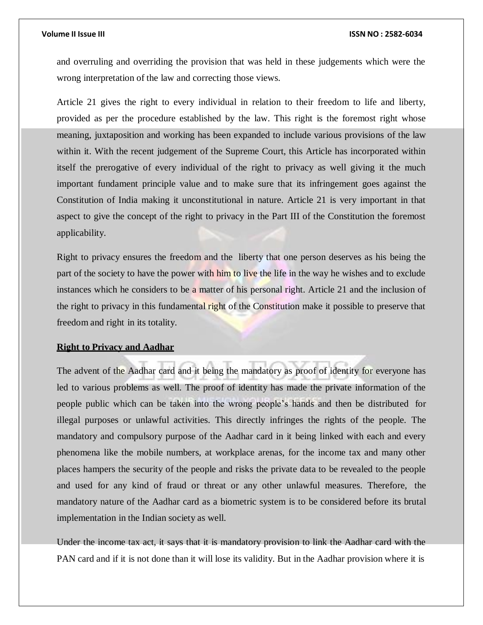and overruling and overriding the provision that was held in these judgements which were the wrong interpretation of the law and correcting those views.

Article 21 gives the right to every individual in relation to their freedom to life and liberty, provided as per the procedure established by the law. This right is the foremost right whose meaning, juxtaposition and working has been expanded to include various provisions of the law within it. With the recent judgement of the Supreme Court, this Article has incorporated within itself the prerogative of every individual of the right to privacy as well giving it the much important fundament principle value and to make sure that its infringement goes against the Constitution of India making it unconstitutional in nature. Article 21 is very important in that aspect to give the concept of the right to privacy in the Part III of the Constitution the foremost applicability.

Right to privacy ensures the freedom and the liberty that one person deserves as his being the part of the society to have the power with him to live the life in the way he wishes and to exclude instances which he considers to be a matter of his personal right. Article 21 and the inclusion of the right to privacy in this fundamental right of the Constitution make it possible to preserve that freedom and right in its totality.

# **Right to Privacy and Aadhar**

The advent of the Aadhar card and it being the mandatory as proof of identity for everyone has led to various problems as well. The proof of identity has made the private information of the people public which can be taken into the wrong people's hands and then be distributed for illegal purposes or unlawful activities. This directly infringes the rights of the people. The mandatory and compulsory purpose of the Aadhar card in it being linked with each and every phenomena like the mobile numbers, at workplace arenas, for the income tax and many other places hampers the security of the people and risks the private data to be revealed to the people and used for any kind of fraud or threat or any other unlawful measures. Therefore, the mandatory nature of the Aadhar card as a biometric system is to be considered before its brutal implementation in the Indian society as well.

Under the income tax act, it says that it is mandatory provision to link the Aadhar card with the PAN card and if it is not done than it will lose its validity. But in the Aadhar provision where it is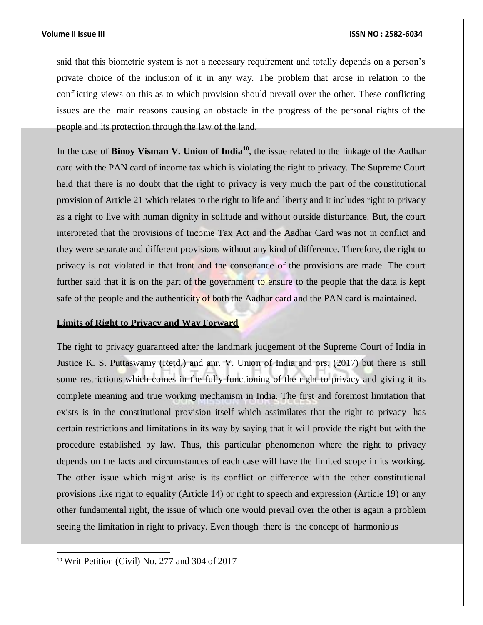said that this biometric system is not a necessary requirement and totally depends on a person's private choice of the inclusion of it in any way. The problem that arose in relation to the conflicting views on this as to which provision should prevail over the other. These conflicting issues are the main reasons causing an obstacle in the progress of the personal rights of the people and its protection through the law of the land.

In the case of **Binoy Visman V. Union of India<sup>10</sup>**, the issue related to the linkage of the Aadhar card with the PAN card of income tax which is violating the right to privacy. The Supreme Court held that there is no doubt that the right to privacy is very much the part of the constitutional provision of Article 21 which relates to the right to life and liberty and it includes right to privacy as a right to live with human dignity in solitude and without outside disturbance. But, the court interpreted that the provisions of Income Tax Act and the Aadhar Card was not in conflict and they were separate and different provisions without any kind of difference. Therefore, the right to privacy is not violated in that front and the consonance of the provisions are made. The court further said that it is on the part of the government to ensure to the people that the data is kept safe of the people and the authenticity of both the Aadhar card and the PAN card is maintained.

# **Limits of Right to Privacy and Way Forward**

The right to privacy guaranteed after the landmark judgement of the Supreme Court of India in Justice K. S. Puttaswamy (Retd.) and anr. V. Union of India and ors. (2017) but there is still some restrictions which comes in the fully functioning of the right to privacy and giving it its complete meaning and true working mechanism in India. The first and foremost limitation that exists is in the constitutional provision itself which assimilates that the right to privacy has certain restrictions and limitations in its way by saying that it will provide the right but with the procedure established by law. Thus, this particular phenomenon where the right to privacy depends on the facts and circumstances of each case will have the limited scope in its working. The other issue which might arise is its conflict or difference with the other constitutional provisions like right to equality (Article 14) or right to speech and expression (Article 19) or any other fundamental right, the issue of which one would prevail over the other is again a problem seeing the limitation in right to privacy. Even though there is the concept of harmonious

<sup>10</sup> Writ Petition (Civil) No. 277 and 304 of 2017